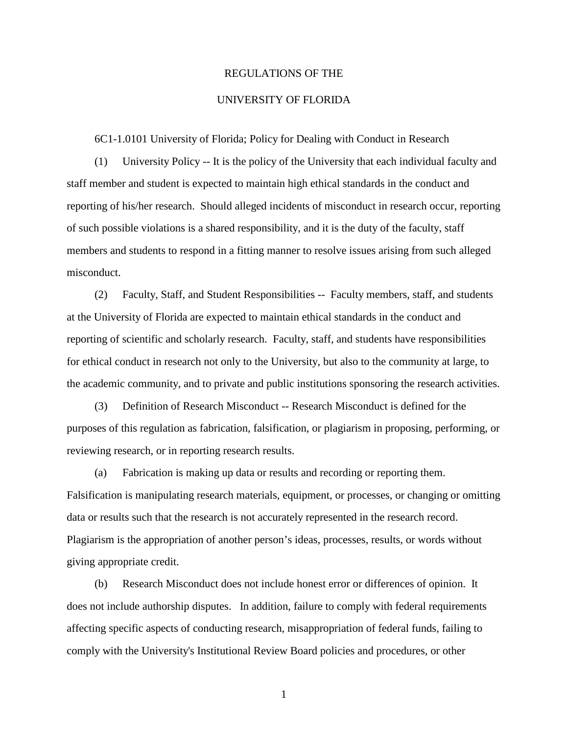## REGULATIONS OF THE

## UNIVERSITY OF FLORIDA

6C1-1.0101 University of Florida; Policy for Dealing with Conduct in Research

(1) University Policy -- It is the policy of the University that each individual faculty and staff member and student is expected to maintain high ethical standards in the conduct and reporting of his/her research. Should alleged incidents of misconduct in research occur, reporting of such possible violations is a shared responsibility, and it is the duty of the faculty, staff members and students to respond in a fitting manner to resolve issues arising from such alleged misconduct.

(2) Faculty, Staff, and Student Responsibilities -- Faculty members, staff, and students at the University of Florida are expected to maintain ethical standards in the conduct and reporting of scientific and scholarly research. Faculty, staff, and students have responsibilities for ethical conduct in research not only to the University, but also to the community at large, to the academic community, and to private and public institutions sponsoring the research activities.

(3) Definition of Research Misconduct -- Research Misconduct is defined for the purposes of this regulation as fabrication, falsification, or plagiarism in proposing, performing, or reviewing research, or in reporting research results.

(a) Fabrication is making up data or results and recording or reporting them. Falsification is manipulating research materials, equipment, or processes, or changing or omitting data or results such that the research is not accurately represented in the research record. Plagiarism is the appropriation of another person's ideas, processes, results, or words without giving appropriate credit.

(b) Research Misconduct does not include honest error or differences of opinion. It does not include authorship disputes. In addition, failure to comply with federal requirements affecting specific aspects of conducting research, misappropriation of federal funds, failing to comply with the University's Institutional Review Board policies and procedures, or other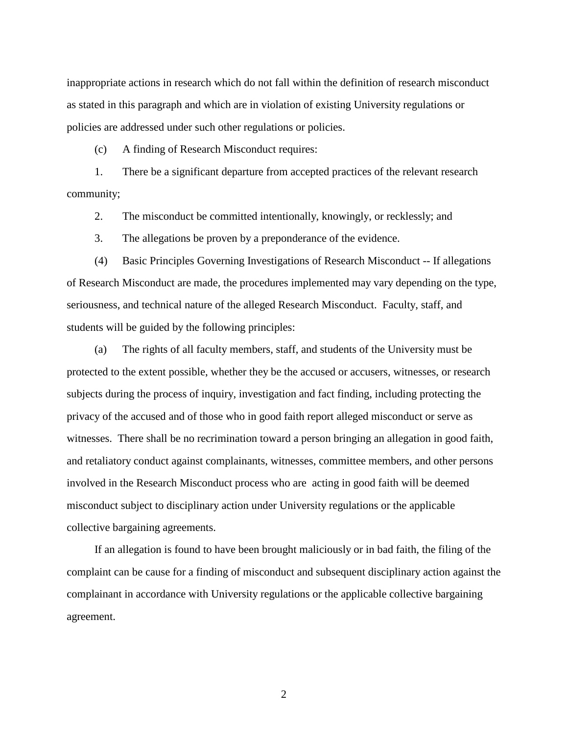inappropriate actions in research which do not fall within the definition of research misconduct as stated in this paragraph and which are in violation of existing University regulations or policies are addressed under such other regulations or policies.

(c) A finding of Research Misconduct requires:

1. There be a significant departure from accepted practices of the relevant research community;

2. The misconduct be committed intentionally, knowingly, or recklessly; and

3. The allegations be proven by a preponderance of the evidence.

(4) Basic Principles Governing Investigations of Research Misconduct -- If allegations of Research Misconduct are made, the procedures implemented may vary depending on the type, seriousness, and technical nature of the alleged Research Misconduct. Faculty, staff, and students will be guided by the following principles:

(a) The rights of all faculty members, staff, and students of the University must be protected to the extent possible, whether they be the accused or accusers, witnesses, or research subjects during the process of inquiry, investigation and fact finding, including protecting the privacy of the accused and of those who in good faith report alleged misconduct or serve as witnesses. There shall be no recrimination toward a person bringing an allegation in good faith, and retaliatory conduct against complainants, witnesses, committee members, and other persons involved in the Research Misconduct process who are acting in good faith will be deemed misconduct subject to disciplinary action under University regulations or the applicable collective bargaining agreements.

If an allegation is found to have been brought maliciously or in bad faith, the filing of the complaint can be cause for a finding of misconduct and subsequent disciplinary action against the complainant in accordance with University regulations or the applicable collective bargaining agreement.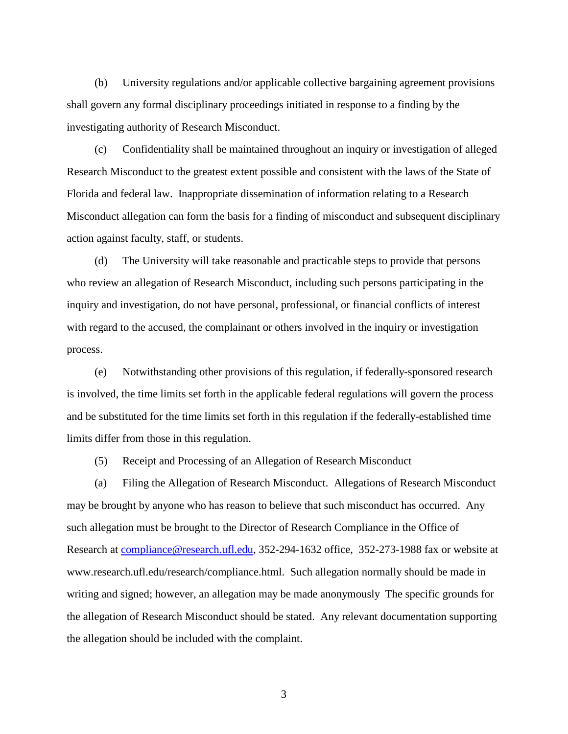(b) University regulations and/or applicable collective bargaining agreement provisions shall govern any formal disciplinary proceedings initiated in response to a finding by the investigating authority of Research Misconduct.

(c) Confidentiality shall be maintained throughout an inquiry or investigation of alleged Research Misconduct to the greatest extent possible and consistent with the laws of the State of Florida and federal law. Inappropriate dissemination of information relating to a Research Misconduct allegation can form the basis for a finding of misconduct and subsequent disciplinary action against faculty, staff, or students.

(d) The University will take reasonable and practicable steps to provide that persons who review an allegation of Research Misconduct, including such persons participating in the inquiry and investigation, do not have personal, professional, or financial conflicts of interest with regard to the accused, the complainant or others involved in the inquiry or investigation process.

(e) Notwithstanding other provisions of this regulation, if federally-sponsored research is involved, the time limits set forth in the applicable federal regulations will govern the process and be substituted for the time limits set forth in this regulation if the federally-established time limits differ from those in this regulation.

(5) Receipt and Processing of an Allegation of Research Misconduct

(a) Filing the Allegation of Research Misconduct. Allegations of Research Misconduct may be brought by anyone who has reason to believe that such misconduct has occurred. Any such allegation must be brought to the Director of Research Compliance in the Office of Research at [compliance@research.ufl.edu,](mailto:compliance@research.ufl.edu) 352-294-1632 office, 352-273-1988 fax or website at www.research.ufl.edu/research/compliance.html. Such allegation normally should be made in writing and signed; however, an allegation may be made anonymously The specific grounds for the allegation of Research Misconduct should be stated. Any relevant documentation supporting the allegation should be included with the complaint.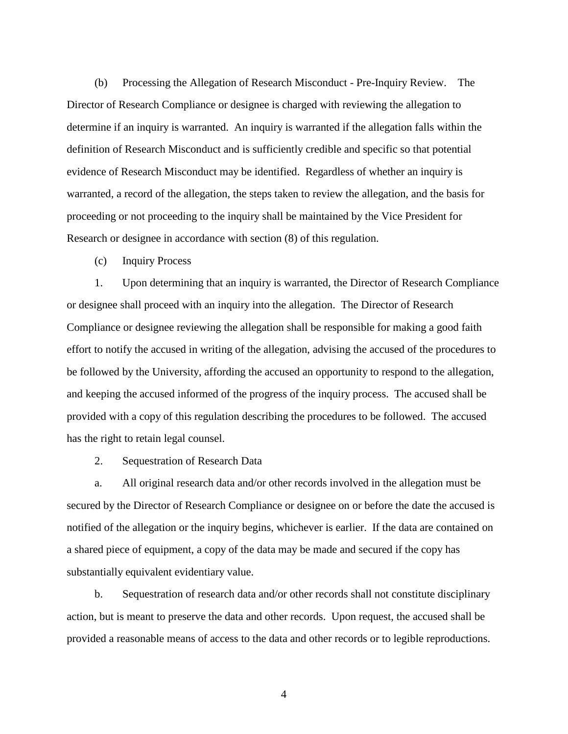(b) Processing the Allegation of Research Misconduct - Pre-Inquiry Review. The Director of Research Compliance or designee is charged with reviewing the allegation to determine if an inquiry is warranted. An inquiry is warranted if the allegation falls within the definition of Research Misconduct and is sufficiently credible and specific so that potential evidence of Research Misconduct may be identified. Regardless of whether an inquiry is warranted, a record of the allegation, the steps taken to review the allegation, and the basis for proceeding or not proceeding to the inquiry shall be maintained by the Vice President for Research or designee in accordance with section (8) of this regulation.

(c) Inquiry Process

1. Upon determining that an inquiry is warranted, the Director of Research Compliance or designee shall proceed with an inquiry into the allegation. The Director of Research Compliance or designee reviewing the allegation shall be responsible for making a good faith effort to notify the accused in writing of the allegation, advising the accused of the procedures to be followed by the University, affording the accused an opportunity to respond to the allegation, and keeping the accused informed of the progress of the inquiry process. The accused shall be provided with a copy of this regulation describing the procedures to be followed. The accused has the right to retain legal counsel.

2. Sequestration of Research Data

a. All original research data and/or other records involved in the allegation must be secured by the Director of Research Compliance or designee on or before the date the accused is notified of the allegation or the inquiry begins, whichever is earlier. If the data are contained on a shared piece of equipment, a copy of the data may be made and secured if the copy has substantially equivalent evidentiary value.

b. Sequestration of research data and/or other records shall not constitute disciplinary action, but is meant to preserve the data and other records. Upon request, the accused shall be provided a reasonable means of access to the data and other records or to legible reproductions.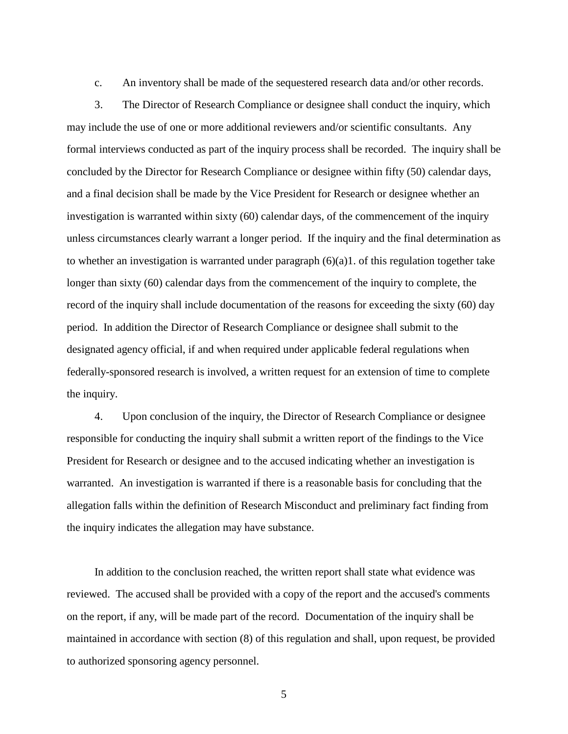c. An inventory shall be made of the sequestered research data and/or other records.

3. The Director of Research Compliance or designee shall conduct the inquiry, which may include the use of one or more additional reviewers and/or scientific consultants. Any formal interviews conducted as part of the inquiry process shall be recorded. The inquiry shall be concluded by the Director for Research Compliance or designee within fifty (50) calendar days, and a final decision shall be made by the Vice President for Research or designee whether an investigation is warranted within sixty (60) calendar days, of the commencement of the inquiry unless circumstances clearly warrant a longer period. If the inquiry and the final determination as to whether an investigation is warranted under paragraph (6)(a)1. of this regulation together take longer than sixty (60) calendar days from the commencement of the inquiry to complete, the record of the inquiry shall include documentation of the reasons for exceeding the sixty (60) day period. In addition the Director of Research Compliance or designee shall submit to the designated agency official, if and when required under applicable federal regulations when federally-sponsored research is involved, a written request for an extension of time to complete the inquiry.

4. Upon conclusion of the inquiry, the Director of Research Compliance or designee responsible for conducting the inquiry shall submit a written report of the findings to the Vice President for Research or designee and to the accused indicating whether an investigation is warranted. An investigation is warranted if there is a reasonable basis for concluding that the allegation falls within the definition of Research Misconduct and preliminary fact finding from the inquiry indicates the allegation may have substance.

In addition to the conclusion reached, the written report shall state what evidence was reviewed. The accused shall be provided with a copy of the report and the accused's comments on the report, if any, will be made part of the record. Documentation of the inquiry shall be maintained in accordance with section (8) of this regulation and shall, upon request, be provided to authorized sponsoring agency personnel.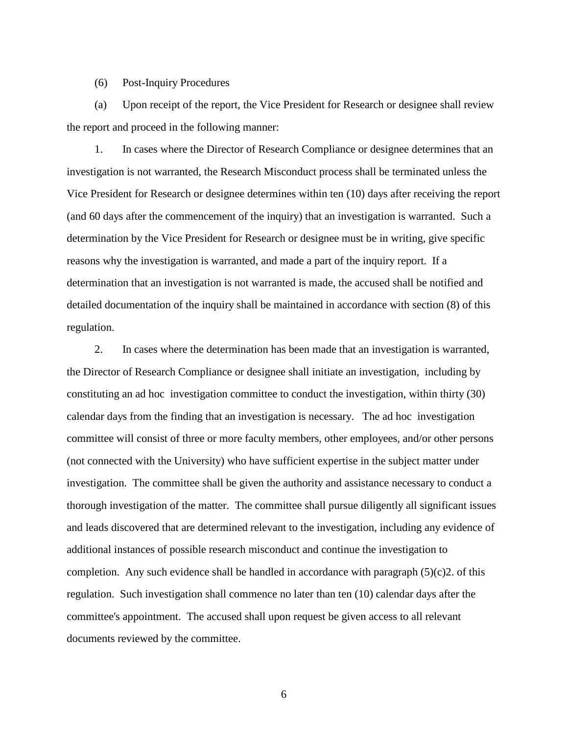(6) Post-Inquiry Procedures

(a) Upon receipt of the report, the Vice President for Research or designee shall review the report and proceed in the following manner:

1. In cases where the Director of Research Compliance or designee determines that an investigation is not warranted, the Research Misconduct process shall be terminated unless the Vice President for Research or designee determines within ten (10) days after receiving the report (and 60 days after the commencement of the inquiry) that an investigation is warranted. Such a determination by the Vice President for Research or designee must be in writing, give specific reasons why the investigation is warranted, and made a part of the inquiry report. If a determination that an investigation is not warranted is made, the accused shall be notified and detailed documentation of the inquiry shall be maintained in accordance with section (8) of this regulation.

2. In cases where the determination has been made that an investigation is warranted, the Director of Research Compliance or designee shall initiate an investigation, including by constituting an ad hoc investigation committee to conduct the investigation, within thirty (30) calendar days from the finding that an investigation is necessary. The ad hoc investigation committee will consist of three or more faculty members, other employees, and/or other persons (not connected with the University) who have sufficient expertise in the subject matter under investigation. The committee shall be given the authority and assistance necessary to conduct a thorough investigation of the matter. The committee shall pursue diligently all significant issues and leads discovered that are determined relevant to the investigation, including any evidence of additional instances of possible research misconduct and continue the investigation to completion. Any such evidence shall be handled in accordance with paragraph  $(5)(c)2$ . of this regulation. Such investigation shall commence no later than ten (10) calendar days after the committee's appointment. The accused shall upon request be given access to all relevant documents reviewed by the committee.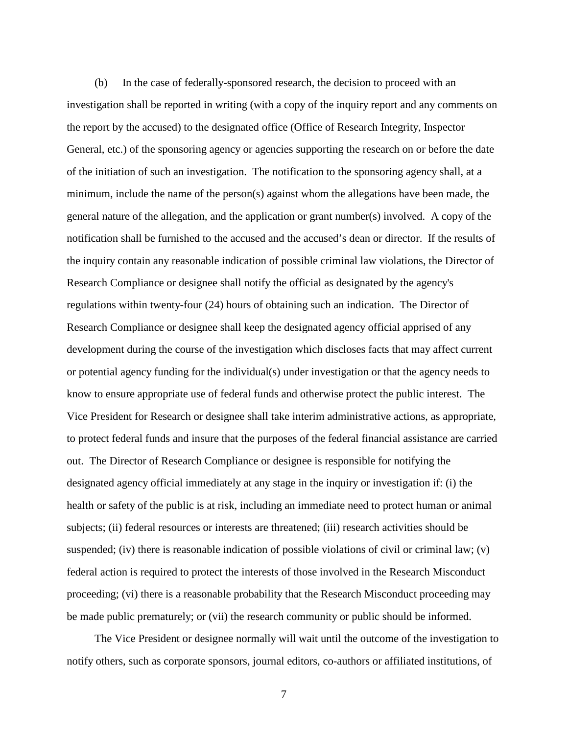(b) In the case of federally-sponsored research, the decision to proceed with an investigation shall be reported in writing (with a copy of the inquiry report and any comments on the report by the accused) to the designated office (Office of Research Integrity, Inspector General, etc.) of the sponsoring agency or agencies supporting the research on or before the date of the initiation of such an investigation. The notification to the sponsoring agency shall, at a minimum, include the name of the person(s) against whom the allegations have been made, the general nature of the allegation, and the application or grant number(s) involved. A copy of the notification shall be furnished to the accused and the accused's dean or director. If the results of the inquiry contain any reasonable indication of possible criminal law violations, the Director of Research Compliance or designee shall notify the official as designated by the agency's regulations within twenty-four (24) hours of obtaining such an indication. The Director of Research Compliance or designee shall keep the designated agency official apprised of any development during the course of the investigation which discloses facts that may affect current or potential agency funding for the individual(s) under investigation or that the agency needs to know to ensure appropriate use of federal funds and otherwise protect the public interest. The Vice President for Research or designee shall take interim administrative actions, as appropriate, to protect federal funds and insure that the purposes of the federal financial assistance are carried out. The Director of Research Compliance or designee is responsible for notifying the designated agency official immediately at any stage in the inquiry or investigation if: (i) the health or safety of the public is at risk, including an immediate need to protect human or animal subjects; (ii) federal resources or interests are threatened; (iii) research activities should be suspended; (iv) there is reasonable indication of possible violations of civil or criminal law; (v) federal action is required to protect the interests of those involved in the Research Misconduct proceeding; (vi) there is a reasonable probability that the Research Misconduct proceeding may be made public prematurely; or (vii) the research community or public should be informed.

The Vice President or designee normally will wait until the outcome of the investigation to notify others, such as corporate sponsors, journal editors, co-authors or affiliated institutions, of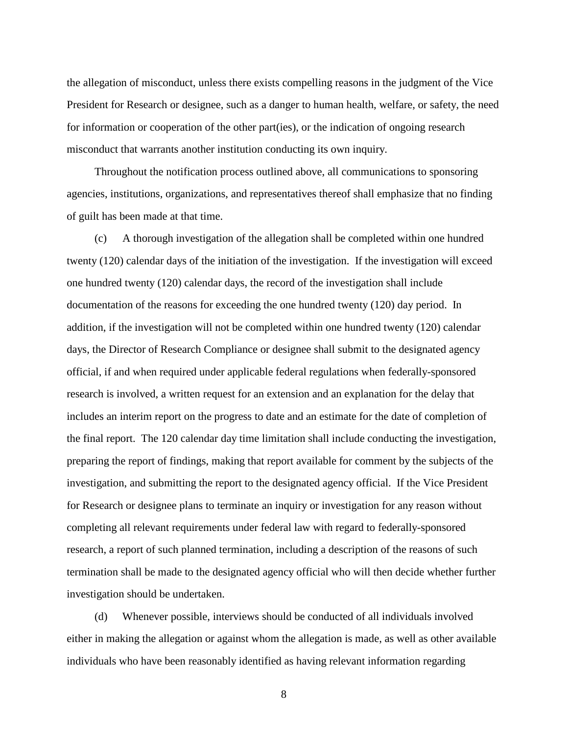the allegation of misconduct, unless there exists compelling reasons in the judgment of the Vice President for Research or designee, such as a danger to human health, welfare, or safety, the need for information or cooperation of the other part(ies), or the indication of ongoing research misconduct that warrants another institution conducting its own inquiry.

 Throughout the notification process outlined above, all communications to sponsoring agencies, institutions, organizations, and representatives thereof shall emphasize that no finding of guilt has been made at that time.

(c) A thorough investigation of the allegation shall be completed within one hundred twenty (120) calendar days of the initiation of the investigation. If the investigation will exceed one hundred twenty (120) calendar days, the record of the investigation shall include documentation of the reasons for exceeding the one hundred twenty (120) day period. In addition, if the investigation will not be completed within one hundred twenty (120) calendar days, the Director of Research Compliance or designee shall submit to the designated agency official, if and when required under applicable federal regulations when federally-sponsored research is involved, a written request for an extension and an explanation for the delay that includes an interim report on the progress to date and an estimate for the date of completion of the final report. The 120 calendar day time limitation shall include conducting the investigation, preparing the report of findings, making that report available for comment by the subjects of the investigation, and submitting the report to the designated agency official. If the Vice President for Research or designee plans to terminate an inquiry or investigation for any reason without completing all relevant requirements under federal law with regard to federally-sponsored research, a report of such planned termination, including a description of the reasons of such termination shall be made to the designated agency official who will then decide whether further investigation should be undertaken.

(d) Whenever possible, interviews should be conducted of all individuals involved either in making the allegation or against whom the allegation is made, as well as other available individuals who have been reasonably identified as having relevant information regarding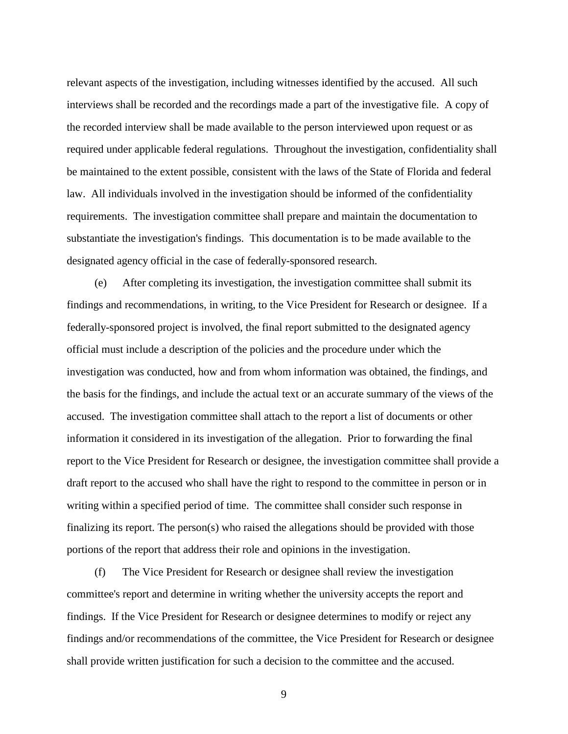relevant aspects of the investigation, including witnesses identified by the accused. All such interviews shall be recorded and the recordings made a part of the investigative file. A copy of the recorded interview shall be made available to the person interviewed upon request or as required under applicable federal regulations. Throughout the investigation, confidentiality shall be maintained to the extent possible, consistent with the laws of the State of Florida and federal law. All individuals involved in the investigation should be informed of the confidentiality requirements. The investigation committee shall prepare and maintain the documentation to substantiate the investigation's findings. This documentation is to be made available to the designated agency official in the case of federally-sponsored research.

(e) After completing its investigation, the investigation committee shall submit its findings and recommendations, in writing, to the Vice President for Research or designee. If a federally-sponsored project is involved, the final report submitted to the designated agency official must include a description of the policies and the procedure under which the investigation was conducted, how and from whom information was obtained, the findings, and the basis for the findings, and include the actual text or an accurate summary of the views of the accused. The investigation committee shall attach to the report a list of documents or other information it considered in its investigation of the allegation. Prior to forwarding the final report to the Vice President for Research or designee, the investigation committee shall provide a draft report to the accused who shall have the right to respond to the committee in person or in writing within a specified period of time. The committee shall consider such response in finalizing its report. The person(s) who raised the allegations should be provided with those portions of the report that address their role and opinions in the investigation.

(f) The Vice President for Research or designee shall review the investigation committee's report and determine in writing whether the university accepts the report and findings. If the Vice President for Research or designee determines to modify or reject any findings and/or recommendations of the committee, the Vice President for Research or designee shall provide written justification for such a decision to the committee and the accused.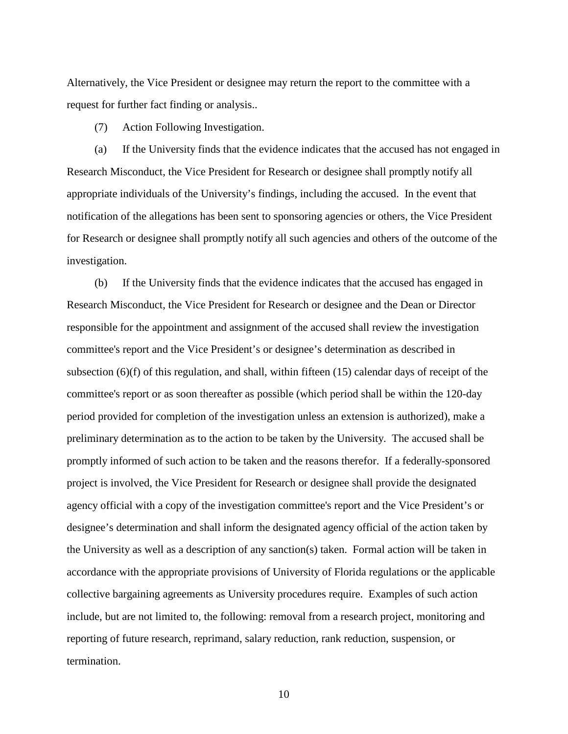Alternatively, the Vice President or designee may return the report to the committee with a request for further fact finding or analysis..

(7) Action Following Investigation.

(a) If the University finds that the evidence indicates that the accused has not engaged in Research Misconduct, the Vice President for Research or designee shall promptly notify all appropriate individuals of the University's findings, including the accused. In the event that notification of the allegations has been sent to sponsoring agencies or others, the Vice President for Research or designee shall promptly notify all such agencies and others of the outcome of the investigation.

(b) If the University finds that the evidence indicates that the accused has engaged in Research Misconduct, the Vice President for Research or designee and the Dean or Director responsible for the appointment and assignment of the accused shall review the investigation committee's report and the Vice President's or designee's determination as described in subsection (6)(f) of this regulation, and shall, within fifteen (15) calendar days of receipt of the committee's report or as soon thereafter as possible (which period shall be within the 120-day period provided for completion of the investigation unless an extension is authorized), make a preliminary determination as to the action to be taken by the University. The accused shall be promptly informed of such action to be taken and the reasons therefor. If a federally-sponsored project is involved, the Vice President for Research or designee shall provide the designated agency official with a copy of the investigation committee's report and the Vice President's or designee's determination and shall inform the designated agency official of the action taken by the University as well as a description of any sanction(s) taken. Formal action will be taken in accordance with the appropriate provisions of University of Florida regulations or the applicable collective bargaining agreements as University procedures require. Examples of such action include, but are not limited to, the following: removal from a research project, monitoring and reporting of future research, reprimand, salary reduction, rank reduction, suspension, or termination.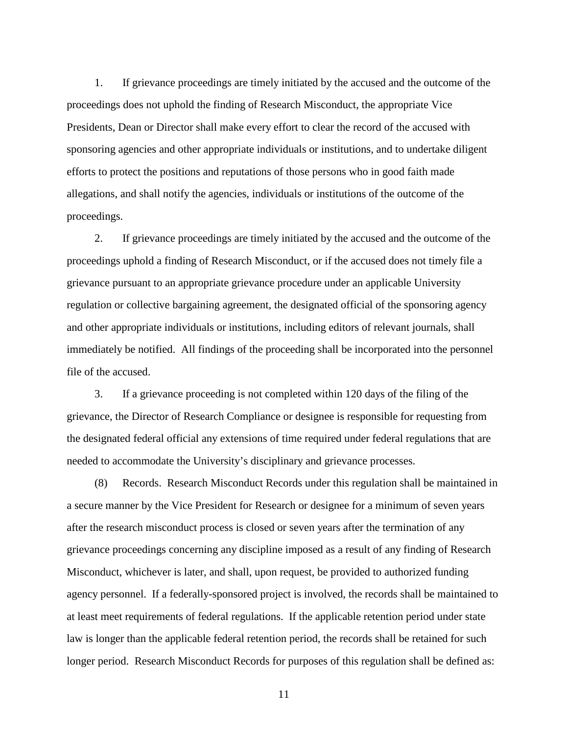1. If grievance proceedings are timely initiated by the accused and the outcome of the proceedings does not uphold the finding of Research Misconduct, the appropriate Vice Presidents, Dean or Director shall make every effort to clear the record of the accused with sponsoring agencies and other appropriate individuals or institutions, and to undertake diligent efforts to protect the positions and reputations of those persons who in good faith made allegations, and shall notify the agencies, individuals or institutions of the outcome of the proceedings.

2. If grievance proceedings are timely initiated by the accused and the outcome of the proceedings uphold a finding of Research Misconduct, or if the accused does not timely file a grievance pursuant to an appropriate grievance procedure under an applicable University regulation or collective bargaining agreement, the designated official of the sponsoring agency and other appropriate individuals or institutions, including editors of relevant journals, shall immediately be notified. All findings of the proceeding shall be incorporated into the personnel file of the accused.

3. If a grievance proceeding is not completed within 120 days of the filing of the grievance, the Director of Research Compliance or designee is responsible for requesting from the designated federal official any extensions of time required under federal regulations that are needed to accommodate the University's disciplinary and grievance processes.

(8) Records. Research Misconduct Records under this regulation shall be maintained in a secure manner by the Vice President for Research or designee for a minimum of seven years after the research misconduct process is closed or seven years after the termination of any grievance proceedings concerning any discipline imposed as a result of any finding of Research Misconduct, whichever is later, and shall, upon request, be provided to authorized funding agency personnel. If a federally-sponsored project is involved, the records shall be maintained to at least meet requirements of federal regulations. If the applicable retention period under state law is longer than the applicable federal retention period, the records shall be retained for such longer period. Research Misconduct Records for purposes of this regulation shall be defined as: